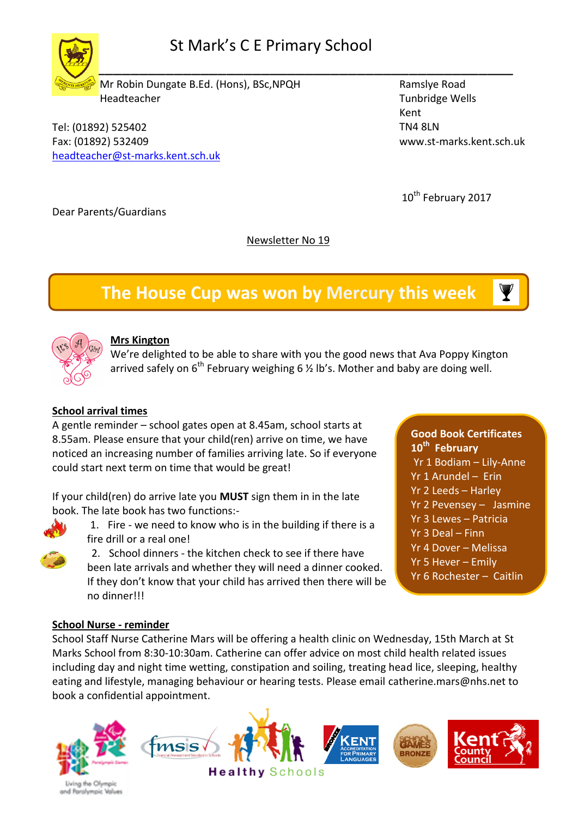# St Mark's C E Primary School

 $\frac{1}{2}$  ,  $\frac{1}{2}$  ,  $\frac{1}{2}$  ,  $\frac{1}{2}$  ,  $\frac{1}{2}$  ,  $\frac{1}{2}$  ,  $\frac{1}{2}$  ,  $\frac{1}{2}$  ,  $\frac{1}{2}$  ,  $\frac{1}{2}$  ,  $\frac{1}{2}$  ,  $\frac{1}{2}$  ,  $\frac{1}{2}$  ,  $\frac{1}{2}$  ,  $\frac{1}{2}$  ,  $\frac{1}{2}$  ,  $\frac{1}{2}$  ,  $\frac{1}{2}$  ,  $\frac{1$ 

 Mr Robin Dungate B.Ed. (Hons), BSc,NPQH Headteacher

Tel: (01892) 525402 Fax: (01892) 532409 [headteacher@st-marks.kent.sch.uk](mailto:headteacher@st-marks.kent.sch.uk)  Ramslye Road Tunbridge Wells Kent TN4 8LN www.st-marks.kent.sch.uk

10<sup>th</sup> February 2017

Dear Parents/Guardians

Newsletter No 19

# **The House Cup was won by Mercury this week**



## **Mrs Kington**

We're delighted to be able to share with you the good news that Ava Poppy Kington arrived safely on  $6^{th}$  February weighing 6 % lb's. Mother and baby are doing well.

## **School arrival times**

A gentle reminder – school gates open at 8.45am, school starts at 8.55am. Please ensure that your child(ren) arrive on time, we have noticed an increasing number of families arriving late. So if everyone could start next term on time that would be great!

If your child(ren) do arrive late you **MUST** sign them in in the late book. The late book has two functions:-



- 1. Fire we need to know who is in the building if there is a fire drill or a real one!
- 2. School dinners the kitchen check to see if there have been late arrivals and whether they will need a dinner cooked. If they don't know that your child has arrived then there will be no dinner!!!

**Good Book Certificates 10th February** Yr 1 Bodiam – Lily-Anne Yr 1 Arundel – Erin Yr 2 Leeds – Harley Yr 2 Pevensey – Jasmine Yr 3 Lewes – Patricia Yr 3 Deal – Finn Yr 4 Dover – Melissa Yr 5 Hever – Emily Yr 6 Rochester – Caitlin

#### **School Nurse - reminder**

School Staff Nurse Catherine Mars will be offering a health clinic on Wednesday, 15th March at St Marks School from 8:30-10:30am. Catherine can offer advice on most child health related issues including day and night time wetting, constipation and soiling, treating head lice, sleeping, healthy eating and lifestyle, managing behaviour or hearing tests. Please email [catherine.mars@nhs.net](mailto:catherine.mars@nhs.net) to book a confidential appointment.



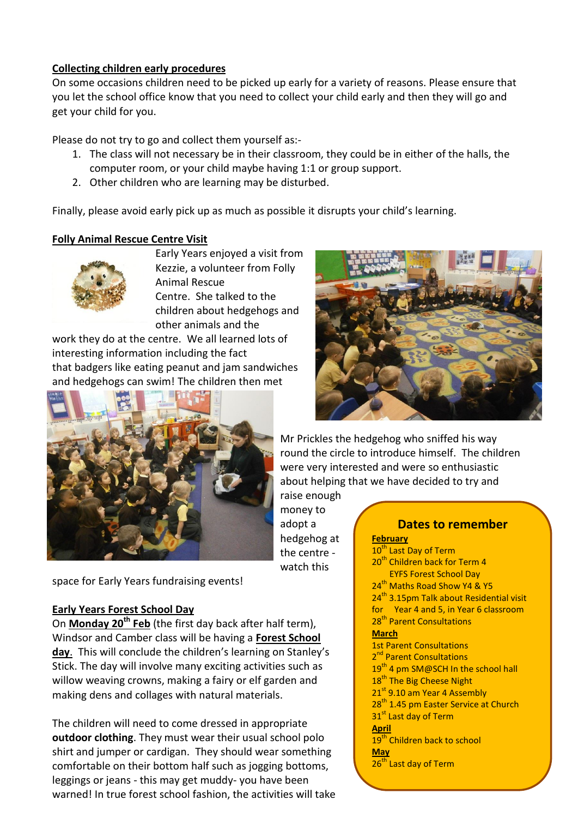#### **Collecting children early procedures**

On some occasions children need to be picked up early for a variety of reasons. Please ensure that you let the school office know that you need to collect your child early and then they will go and get your child for you.

Please do not try to go and collect them yourself as:-

- 1. The class will not necessary be in their classroom, they could be in either of the halls, the computer room, or your child maybe having 1:1 or group support.
- 2. Other children who are learning may be disturbed.

Finally, please avoid early pick up as much as possible it disrupts your child's learning.

#### **Folly Animal Rescue Centre Visit**



Early Years enjoyed a visit from Kezzie, a volunteer from Folly Animal Rescue Centre. She talked to the children about hedgehogs and other animals and the

work they do at the centre. We all learned lots of interesting information including the fact that badgers like eating peanut and jam sandwiches and hedgehogs can swim! The children then met





Mr Prickles the hedgehog who sniffed his way round the circle to introduce himself. The children were very interested and were so enthusiastic about helping that we have decided to try and

raise enough money to adopt a hedgehog at the centre watch this

space for Early Years fundraising events!

#### **Early Years Forest School Day**

On **Monday 20th Feb** (the first day back after half term), Windsor and Camber class will be having a **Forest School day**. This will conclude the children's learning on Stanley's Stick. The day will involve many exciting activities such as willow weaving crowns, making a fairy or elf garden and making dens and collages with natural materials.

The children will need to come dressed in appropriate **outdoor clothing**. They must wear their usual school polo shirt and jumper or cardigan. They should wear something comfortable on their bottom half such as jogging bottoms, leggings or jeans - this may get muddy- you have been warned! In true forest school fashion, the activities will take

**Dates to remember February**  10<sup>th</sup> Last Day of Term 20<sup>th</sup> Children back for Term 4 EYFS Forest School Day 24<sup>th</sup> Maths Road Show Y4 & Y5 24<sup>th</sup> 3.15pm Talk about Residential visit for Year 4 and 5, in Year 6 classroom 28<sup>th</sup> Parent Consultations **March** 1st Parent Consultations 2<sup>nd</sup> Parent Consultations  $19<sup>th</sup>$  4 pm SM@SCH In the school hall 18<sup>th</sup> The Big Cheese Night 21<sup>st</sup> 9.10 am Year 4 Assembly 28<sup>th</sup> 1.45 pm Easter Service at Church 31<sup>st</sup> Last day of Term **April** 19<sup>th</sup> Children back to school **May** 26<sup>th</sup> Last day of Term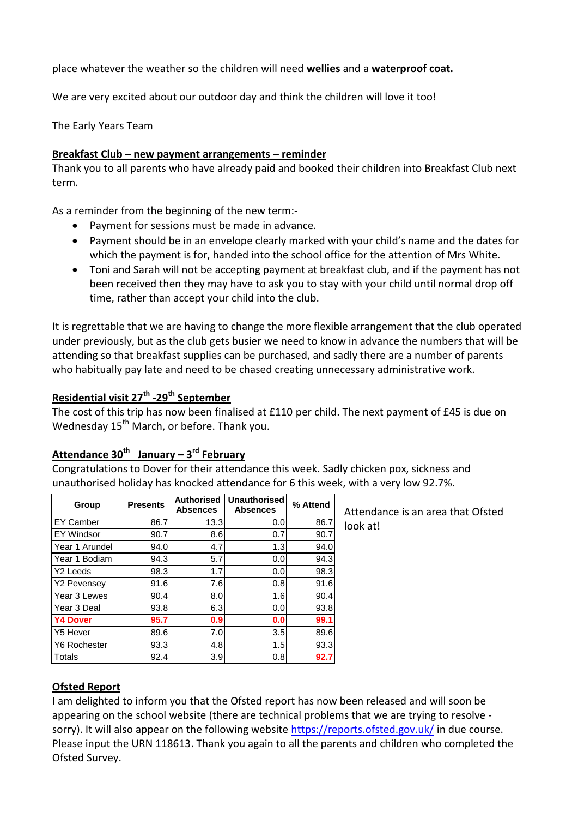place whatever the weather so the children will need **wellies** and a **waterproof coat.**

We are very excited about our outdoor day and think the children will love it too!

The Early Years Team

#### **Breakfast Club – new payment arrangements – reminder**

Thank you to all parents who have already paid and booked their children into Breakfast Club next term.

As a reminder from the beginning of the new term:-

- Payment for sessions must be made in advance.
- Payment should be in an envelope clearly marked with your child's name and the dates for which the payment is for, handed into the school office for the attention of Mrs White.
- Toni and Sarah will not be accepting payment at breakfast club, and if the payment has not been received then they may have to ask you to stay with your child until normal drop off time, rather than accept your child into the club.

It is regrettable that we are having to change the more flexible arrangement that the club operated under previously, but as the club gets busier we need to know in advance the numbers that will be attending so that breakfast supplies can be purchased, and sadly there are a number of parents who habitually pay late and need to be chased creating unnecessary administrative work.

### **Residential visit 27th -29th September**

The cost of this trip has now been finalised at £110 per child. The next payment of £45 is due on Wednesday  $15<sup>th</sup>$  March, or before. Thank you.

### **Attendance 30th January – 3 rd February**

Congratulations to Dover for their attendance this week. Sadly chicken pox, sickness and unauthorised holiday has knocked attendance for 6 this week, with a very low 92.7%.

| Group                   | <b>Presents</b> | <b>Authorised</b><br><b>Absences</b> | Unauthorised<br><b>Absences</b> | % Attend |
|-------------------------|-----------------|--------------------------------------|---------------------------------|----------|
| <b>EY Camber</b>        | 86.7            | 13.3                                 | 0.0                             | 86.7     |
| <b>EY Windsor</b>       | 90.7            | 8.6                                  | 0.7                             | 90.7     |
| Year 1 Arundel          | 94.0            | 4.7                                  | 1.3                             | 94.0     |
| Year 1 Bodiam           | 94.3            | 5.7                                  | 0.0                             | 94.3     |
| Y <sub>2</sub> Leeds    | 98.3            | 1.7                                  | 0.0                             | 98.3     |
| Y <sub>2</sub> Pevensey | 91.6            | 7.6                                  | 0.8                             | 91.6     |
| Year 3 Lewes            | 90.4            | 8.0                                  | 1.6                             | 90.4     |
| Year 3 Deal             | 93.8            | 6.3                                  | 0.0                             | 93.8     |
| <b>Y4 Dover</b>         | 95.7            | 0.9                                  | 0.0                             | 99.1     |
| Y5 Hever                | 89.6            | 7.0                                  | 3.5                             | 89.6     |
| Y6 Rochester            | 93.3            | 4.8                                  | 1.5                             | 93.3     |
| Totals                  | 92.4            | 3.9                                  | 0.8                             | 92.7     |

Attendance is an area that Ofsted look at!

#### **Ofsted Report**

I am delighted to inform you that the Ofsted report has now been released and will soon be appearing on the school website (there are technical problems that we are trying to resolve sorry). It will also appear on the following website<https://reports.ofsted.gov.uk/> in due course. Please input the URN 118613. Thank you again to all the parents and children who completed the Ofsted Survey.